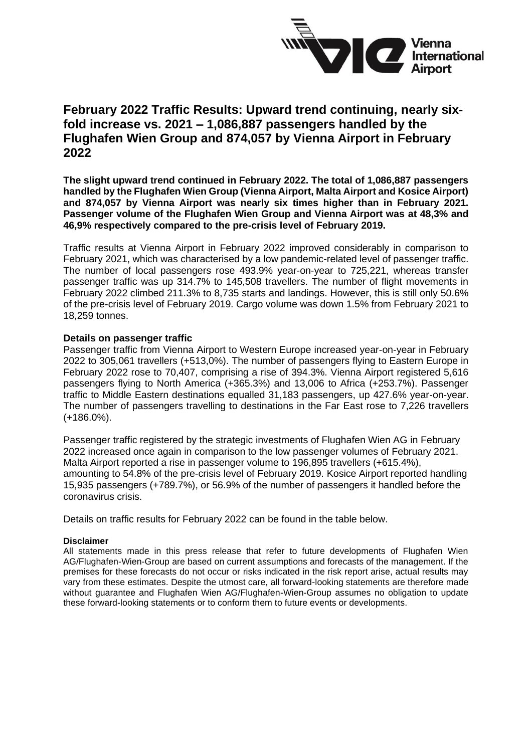

## **February 2022 Traffic Results: Upward trend continuing, nearly sixfold increase vs. 2021 – 1,086,887 passengers handled by the Flughafen Wien Group and 874,057 by Vienna Airport in February 2022**

**The slight upward trend continued in February 2022. The total of 1,086,887 passengers handled by the Flughafen Wien Group (Vienna Airport, Malta Airport and Kosice Airport) and 874,057 by Vienna Airport was nearly six times higher than in February 2021. Passenger volume of the Flughafen Wien Group and Vienna Airport was at 48,3% and 46,9% respectively compared to the pre-crisis level of February 2019.** 

Traffic results at Vienna Airport in February 2022 improved considerably in comparison to February 2021, which was characterised by a low pandemic-related level of passenger traffic. The number of local passengers rose 493.9% year-on-year to 725,221, whereas transfer passenger traffic was up 314.7% to 145,508 travellers. The number of flight movements in February 2022 climbed 211.3% to 8,735 starts and landings. However, this is still only 50.6% of the pre-crisis level of February 2019. Cargo volume was down 1.5% from February 2021 to 18,259 tonnes.

#### **Details on passenger traffic**

Passenger traffic from Vienna Airport to Western Europe increased year-on-year in February 2022 to 305,061 travellers (+513,0%). The number of passengers flying to Eastern Europe in February 2022 rose to 70,407, comprising a rise of 394.3%. Vienna Airport registered 5,616 passengers flying to North America (+365.3%) and 13,006 to Africa (+253.7%). Passenger traffic to Middle Eastern destinations equalled 31,183 passengers, up 427.6% year-on-year. The number of passengers travelling to destinations in the Far East rose to 7,226 travellers (+186.0%).

Passenger traffic registered by the strategic investments of Flughafen Wien AG in February 2022 increased once again in comparison to the low passenger volumes of February 2021. Malta Airport reported a rise in passenger volume to 196,895 travellers (+615.4%), amounting to 54.8% of the pre-crisis level of February 2019. Kosice Airport reported handling 15,935 passengers (+789.7%), or 56.9% of the number of passengers it handled before the coronavirus crisis.

Details on traffic results for February 2022 can be found in the table below.

#### **Disclaimer**

All statements made in this press release that refer to future developments of Flughafen Wien AG/Flughafen-Wien-Group are based on current assumptions and forecasts of the management. If the premises for these forecasts do not occur or risks indicated in the risk report arise, actual results may vary from these estimates. Despite the utmost care, all forward-looking statements are therefore made without guarantee and Flughafen Wien AG/Flughafen-Wien-Group assumes no obligation to update these forward-looking statements or to conform them to future events or developments.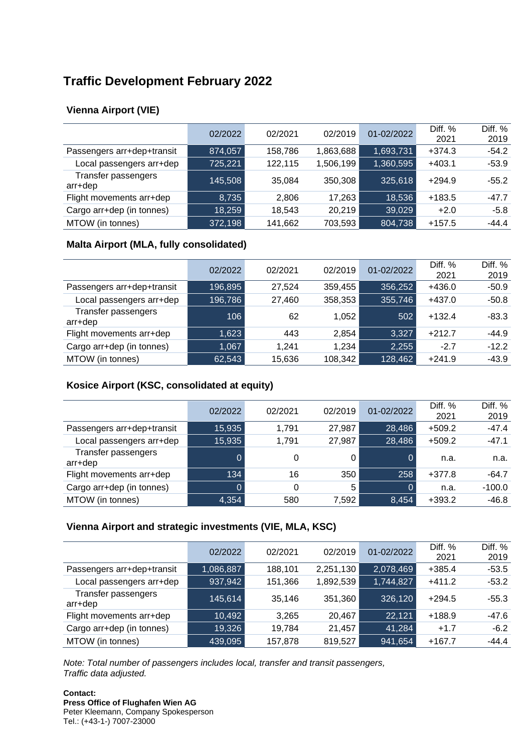# **Traffic Development February 2022**

## **Vienna Airport (VIE)**

|                                | 02/2022 | 02/2021 | 02/2019   | 01-02/2022 | Diff. %<br>2021 | Diff. %<br>2019 |
|--------------------------------|---------|---------|-----------|------------|-----------------|-----------------|
| Passengers arr+dep+transit     | 874,057 | 158,786 | 1,863,688 | 1,693,731  | $+374.3$        | $-54.2$         |
| Local passengers arr+dep       | 725,221 | 122,115 | 1,506,199 | 1,360,595  | $+403.1$        | $-53.9$         |
| Transfer passengers<br>arr+dep | 145,508 | 35,084  | 350,308   | 325,618    | $+294.9$        | $-55.2$         |
| Flight movements arr+dep       | 8,735   | 2.806   | 17,263    | 18,536     | $+183.5$        | $-47.7$         |
| Cargo arr+dep (in tonnes)      | 18,259  | 18,543  | 20,219    | 39,029     | $+2.0$          | $-5.8$          |
| MTOW (in tonnes)               | 372,198 | 141,662 | 703,593   | 804,738    | $+157.5$        | $-44.4$         |

#### **Malta Airport (MLA, fully consolidated)**

|                                | 02/2022 | 02/2021 | 02/2019 | 01-02/2022 | Diff. %<br>2021 | Diff. %<br>2019 |
|--------------------------------|---------|---------|---------|------------|-----------------|-----------------|
| Passengers arr+dep+transit     | 196,895 | 27,524  | 359,455 | 356,252    | $+436.0$        | $-50.9$         |
| Local passengers arr+dep       | 196,786 | 27,460  | 358,353 | 355,746    | $+437.0$        | $-50.8$         |
| Transfer passengers<br>arr+dep | 106     | 62      | 1,052   | 502        | $+132.4$        | $-83.3$         |
| Flight movements arr+dep       | 1,623   | 443     | 2,854   | 3,327      | $+212.7$        | $-44.9$         |
| Cargo arr+dep (in tonnes)      | 1,067   | 1.241   | 1,234   | 2,255      | $-2.7$          | $-12.2$         |
| MTOW (in tonnes)               | 62,543  | 15,636  | 108,342 | 128,462    | $+241.9$        | $-43.9$         |

## **Kosice Airport (KSC, consolidated at equity)**

|                                | 02/2022 | 02/2021 | 02/2019 | 01-02/2022 | Diff. %<br>2021 | Diff. %<br>2019 |
|--------------------------------|---------|---------|---------|------------|-----------------|-----------------|
| Passengers arr+dep+transit     | 15,935  | 1.791   | 27,987  | 28,486     | $+509.2$        | $-47.4$         |
| Local passengers arr+dep       | 15,935  | 1,791   | 27,987  | 28,486     | $+509.2$        | $-47.1$         |
| Transfer passengers<br>arr+dep | 0       | 0       | 0       | 0          | n.a.            | n.a.            |
| Flight movements arr+dep       | 134     | 16      | 350     | 258        | $+377.8$        | $-64.7$         |
| Cargo arr+dep (in tonnes)      | 0       | 0       | 5       | O          | n.a.            | $-100.0$        |
| MTOW (in tonnes)               | 4,354   | 580     | 7,592   | 8,454      | $+393.2$        | $-46.8$         |

#### **Vienna Airport and strategic investments (VIE, MLA, KSC)**

|                                | 02/2022   | 02/2021 | 02/2019   | 01-02/2022 | Diff. %<br>2021 | Diff. %<br>2019 |
|--------------------------------|-----------|---------|-----------|------------|-----------------|-----------------|
| Passengers arr+dep+transit     | 1,086,887 | 188,101 | 2,251,130 | 2,078,469  | $+385.4$        | $-53.5$         |
| Local passengers arr+dep       | 937,942   | 151,366 | 1,892,539 | 1,744,827  | $+411.2$        | $-53.2$         |
| Transfer passengers<br>arr+dep | 145,614   | 35,146  | 351,360   | 326,120    | $+294.5$        | $-55.3$         |
| Flight movements arr+dep       | 10,492    | 3.265   | 20,467    | 22,121     | $+188.9$        | -47.6           |
| Cargo arr+dep (in tonnes)      | 19,326    | 19.784  | 21,457    | 41,284     | $+1.7$          | $-6.2$          |
| MTOW (in tonnes)               | 439,095   | 157,878 | 819,527   | 941,654    | $+167.7$        | $-44.4$         |

*Note: Total number of passengers includes local, transfer and transit passengers, Traffic data adjusted.*

**Contact: Press Office of Flughafen Wien AG** Peter Kleemann, Company Spokesperson Tel.: (+43-1-) 7007-23000